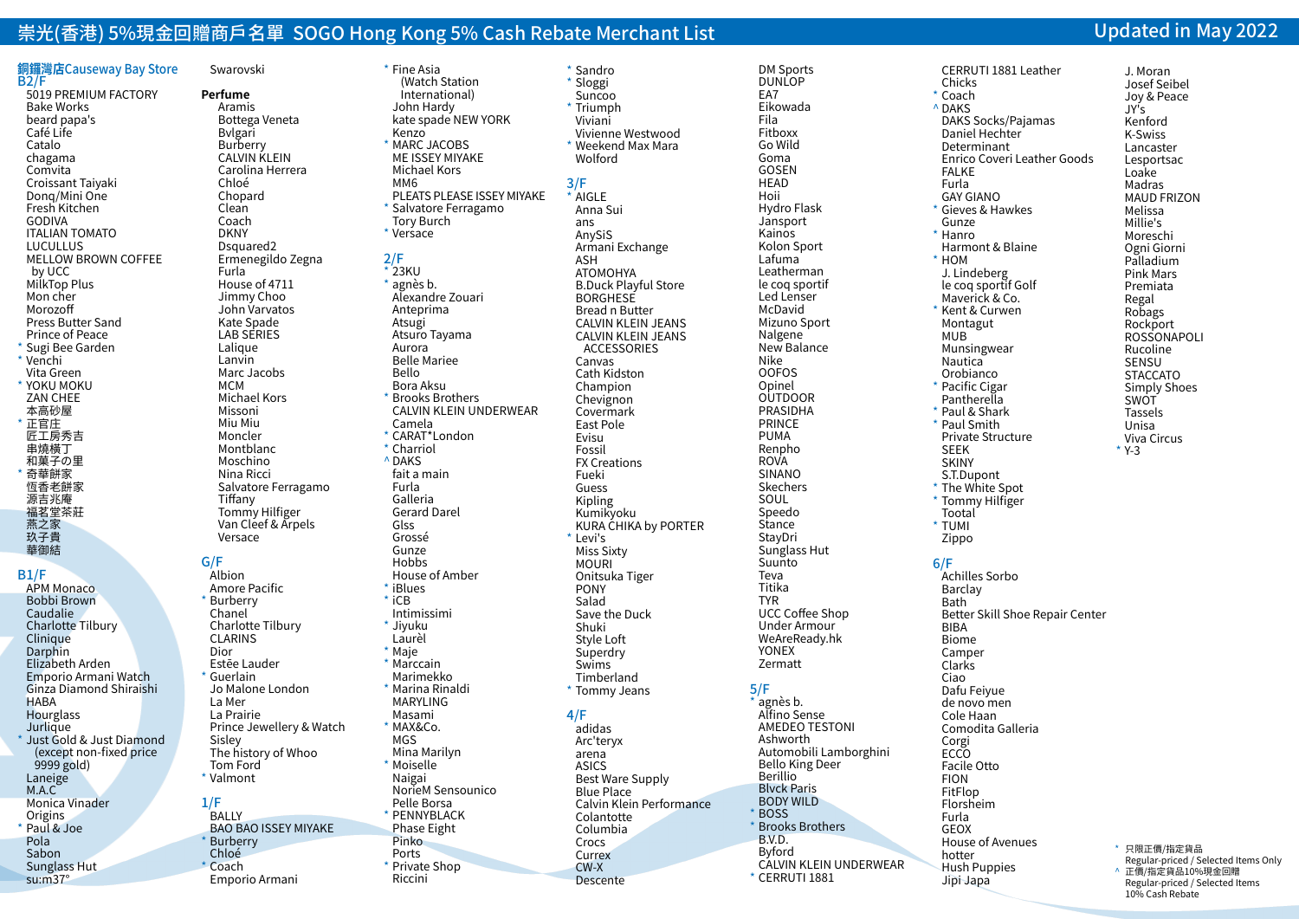# 崇光(香港) 5%現金回贈商戶名單 SOGO Hong Kong 5% Cash Rebate Merchant List Updated in May 2022

\* Fine Asia (Watch Station International) John Hardy kate spade NEW YORK

 Kenzo \* MARC JACOBS ME ISSEY MIYAKE Michael Kors MM6

2/F  $*$  23KU \* agnès b. Alexandre Zouari Anteprima Atsugi Atsuro Tayama Aurora Belle Mariee Bello Bora Aksu **Brooks Brothers** 

 Camela \* CARAT\*London \* Charriol ^ DAKS fait a main Furla Galleria Gerard Darel Glss Grossé Gunze **Hobbs** 

Salvatore Ferragamo Tory Burch \* Versace

#### **銅鑼灣店**Causeway Bay Store B2/F 5019 PREMIUM FACTORY Bake Works beard papa's Café Life Catalo chagama Comvita Croissant Taiyaki Donq/Mini One Fresh Kitchen GODIVA ITALIAN TOMATO LUCULLUS MELLOW BROWN COFFEE by UCC MilkTop Plus Mon cher Morozoff Press Butter Sand Prince of Peace \* Sugi Bee Garden \* Venchi Vita Green \* YOKU MOKU ZAN CHEE 本高砂屋 \* 正官庄 匠工房秀吉 串燒橫丁 和菓子の里 \* 奇華餅家 恆香老餅家 源吉兆庵 福茗堂茶莊 燕之家 玖子貴

# B1/F

 華御結

 APM Monaco Bobbi Brown Caudalie Charlotte Tilbury Clinique Darphin Elizabeth Arden Emporio Armani Watch Ginza Diamond Shiraishi **HABA Hourglass Jurlique** \* Just Gold & Just Diamond (except non-fixed price  $9999$  gold) Laneige M.A.C Monica Vinader **Origins** Paul & Joe Pola Sabon Sunglass Hut su:m37°

 Swarovski **Perfume**  Aramis Bottega Veneta Bvlgari Burberry CALVIN KLEIN Carolina Herrera Chloé Chopard Clean Coach DKNY Dsquared2 Ermenegildo Zegna Furla House of 4711 Jimmy Choo John Varvatos Kate Spade LAB SERIES Lalique Lanvin Marc Jacobs MCM Michael Kors Missoni Miu Miu Moncler Montblanc Moschino Nina Ricci Salvatore Ferragamo Tiffany Tommy Hilfiger Van Cleef & Arpels Versace Albion Amore Pacific

# G/F

\* Burberry Chanel

 CLARINS Dior Estēe Lauder \* Guerlain

 La Mer La Prairie

 Sisley

1/F **BALLY** 

 Tom Ford \* Valmont

**Burberry**  Chloé  $Coach$ 

 Charlotte Tilbury Jo Malone London Prince Jewellery & Watch The history of Whoo BAO BAO ISSEY MIYAKE Emporio Armani House of Amber \* iBlues  $*$  iCB Intimissimi \* Jiyuku Laurèl \* Maje \* Marccain Marimekko \* Marina Rinaldi MARYLING Masami  $*$  MAX&Co. MGS Mina Marilyn \* Moiselle Naigai NorieM Sensounico Pelle Borsa \* PENNYBLACK Phase Eight Pinko Ports \* Private Shop Riccini

 PLEATS PLEASE ISSEY MIYAKE CALVIN KLEIN UNDERWEAR \* Sandro \* Sloggi Suncoo  $*$  Triumph Viviani Vivienne Westwood \* Weekend Max Mara Wolford 3/F \* AIGLE Anna Sui ans AnySiS Armani Exchange ASH ATOMOHYA B.Duck Playful Store **BORGHESE**  Bread n Butter CALVIN KLEIN JEANS CALVIN KLEIN JEANS ACCESSORIES Canvas Cath Kidston Champion Chevignon Covermark East Pole Evisu Fossil FX Creations Fueki Guess Kipling Kumikyoku KURA CHIKA by PORTER \* Levi's Miss Sixty MOURI Onitsuka Tiger PONY Salad Save the Duck Shuki Style Loft **Superdry**  Swims Timberland \* Tommy Jeans 4/F adidas Arc'teryx arena

ASICS

 Colantotte Columbia Crocs Currex CW-X Descente

Best Ware Supply Blue Place

 Calvin Klein Performance

DUNLOP EA7 Eikowada Fila Fitboxx Go Wild Goma GOSEN **HEAD**  Hoii Hydro Flask **Jansport**  Kainos Kolon Sport Lafuma Leatherman le coq sportif Led Lenser McDavid Mizuno Sport Nalgene New Balance Nike OOFOS Opinel **OUTDOOR** PRASIDHA PRINCE PUMA Renpho ROVA SINANO **Skechers** SOUL Speedo **Stance StavDri**  Sunglass Hut Suunto Teva Titika TYR UCC Coffee Shop Under Armour WeAreReady.hk YONEX Zermatt 5/F agnès b. Alfino Sense AMEDEO TESTONI Ashworth Automobili Lamborghini Bello King Deer Berillio Blvck Paris BODY WILD BOSS **Brooks Brothers** 

> B.V.D. Byford

\* CERRUTI 1881

 CALVIN KLEIN UNDERWEAR

 DM Sports

 CERRUTI 1881 Leather Chicks \* Coach ^ DAKS DAKS Socks/Pajamas Daniel Hechter Determinant Enrico Coveri Leather Goods FALKE Furla GAY GIANO \* Gieves & Hawkes Gunze \* Hanro Harmont & Blaine  $*$  HOM J. Lindeberg le coq sportif Golf Maverick & Co. Kent & Curwen Montagut MUB Munsingwear **Nautica Orobianco** \* Pacific Cigar Pantherella \* Paul & Shark \* Paul Smith Private Structure SEEK SKINY S.T.Dupont \* The White Spot \* Tommy Hilfiger Tootal \* TUMI Zippo 6/F Achilles Sorbo Barclay Bath Better Skill Shoe Repair Center BIBA Biome Camper **Clarks**  Ciao Dafu Feiyue de novo men Cole Haan Comodita Galleria Corgi ECCO Facile Otto FION FitFlop Florsheim Furla GEOX House of Avenues hotter Hush Puppies Jipi Japa

#### \* 只限正價/指定貨品 Regular-priced / Selected Items Only ● 正價/指定貨品10%現金回贈 Regular-priced / Selected Items 10% Cash Rebate

 J. Moran Josef Seibel Joy & Peace JY's Kenford K-Swiss Lancaster Lesportsac Loake Madras MAUD FRIZON Melissa Millie's Moreschi Ogni Giorni Palladium Pink Mars Premiata Regal Robags Rockport ROSSONAPOLI Rucoline **SENSU STACCATO**  Simply Shoes **SWOT**  Tassels Unisa Viva Circus \* Y-3